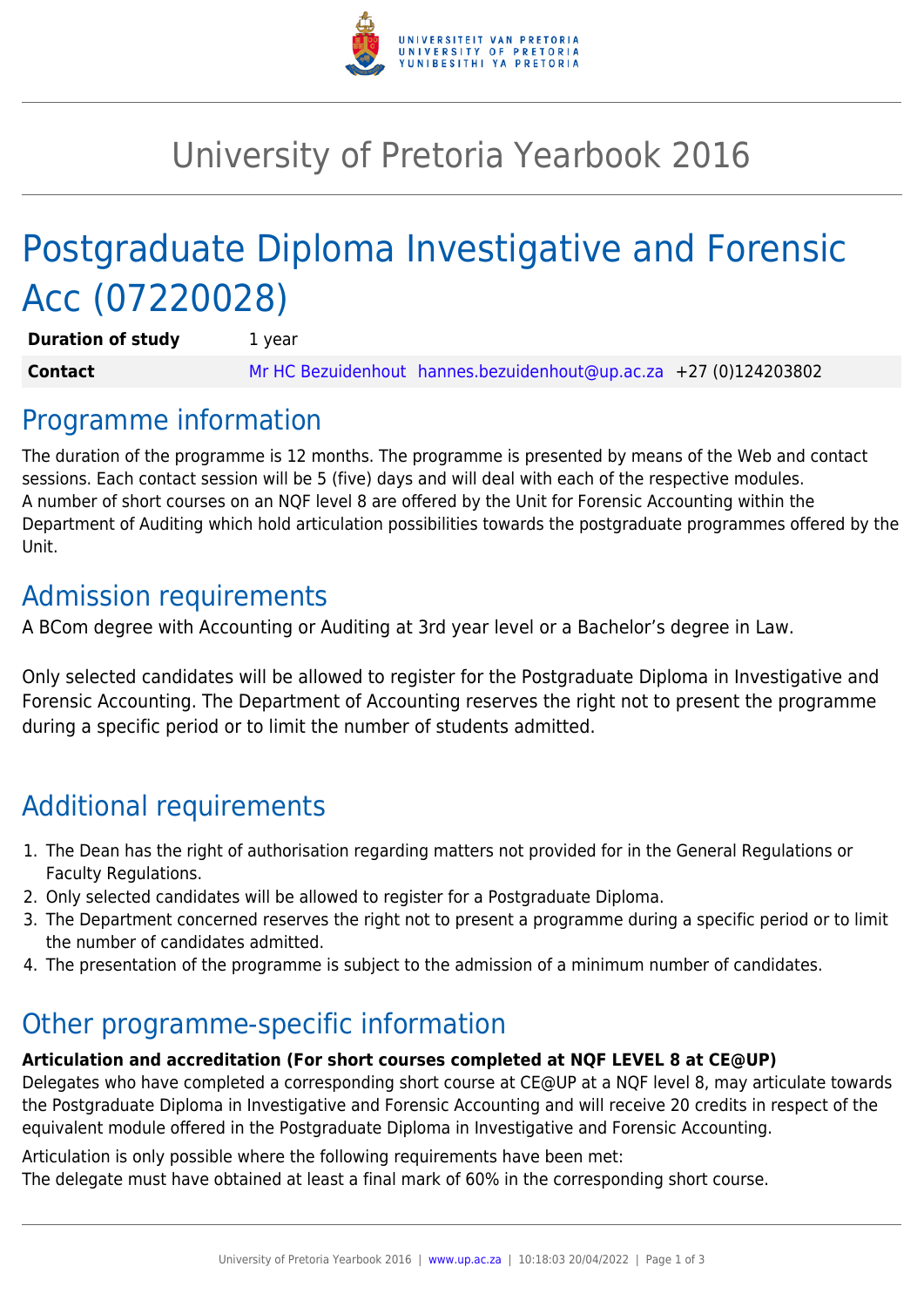

# University of Pretoria Yearbook 2016

# Postgraduate Diploma Investigative and Forensic Acc (07220028)

**Duration of study** 1 year **Contact** [Mr HC Bezuidenhout](mailto:hannes.bezuidenhout@up.ac.za) [hannes.bezuidenhout@up.ac.za](mailto:hannes.bezuidenhout@up.ac.za) +27 (0)124203802

### Programme information

The duration of the programme is 12 months. The programme is presented by means of the Web and contact sessions. Each contact session will be 5 (five) days and will deal with each of the respective modules. A number of short courses on an NQF level 8 are offered by the Unit for Forensic Accounting within the Department of Auditing which hold articulation possibilities towards the postgraduate programmes offered by the Unit.

### Admission requirements

A BCom degree with Accounting or Auditing at 3rd year level or a Bachelor's degree in Law.

Only selected candidates will be allowed to register for the Postgraduate Diploma in Investigative and Forensic Accounting. The Department of Accounting reserves the right not to present the programme during a specific period or to limit the number of students admitted.

## Additional requirements

- 1. The Dean has the right of authorisation regarding matters not provided for in the General Regulations or Faculty Regulations.
- 2. Only selected candidates will be allowed to register for a Postgraduate Diploma.
- 3. The Department concerned reserves the right not to present a programme during a specific period or to limit the number of candidates admitted.
- 4. The presentation of the programme is subject to the admission of a minimum number of candidates.

### Other programme-specific information

#### **Articulation and accreditation (For short courses completed at NQF LEVEL 8 at CE@UP)**

Delegates who have completed a corresponding short course at CE@UP at a NQF level 8, may articulate towards the Postgraduate Diploma in Investigative and Forensic Accounting and will receive 20 credits in respect of the equivalent module offered in the Postgraduate Diploma in Investigative and Forensic Accounting.

Articulation is only possible where the following requirements have been met: The delegate must have obtained at least a final mark of 60% in the corresponding short course.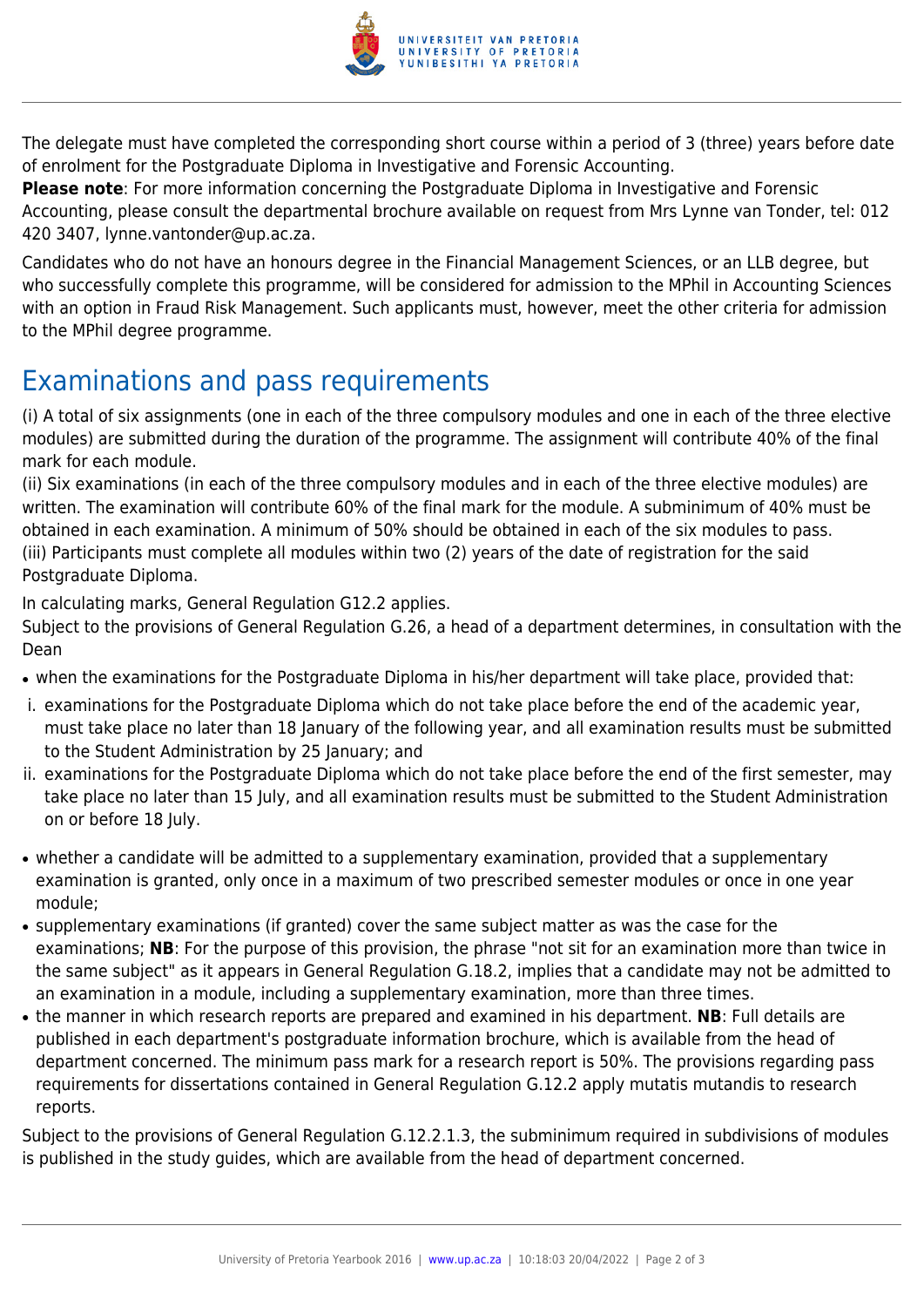

The delegate must have completed the corresponding short course within a period of 3 (three) years before date of enrolment for the Postgraduate Diploma in Investigative and Forensic Accounting.

**Please note**: For more information concerning the Postgraduate Diploma in Investigative and Forensic Accounting, please consult the departmental brochure available on request from Mrs Lynne van Tonder, tel: 012 420 3407, lynne.vantonder@up.ac.za.

Candidates who do not have an honours degree in the Financial Management Sciences, or an LLB degree, but who successfully complete this programme, will be considered for admission to the MPhil in Accounting Sciences with an option in Fraud Risk Management. Such applicants must, however, meet the other criteria for admission to the MPhil degree programme.

## Examinations and pass requirements

(i) A total of six assignments (one in each of the three compulsory modules and one in each of the three elective modules) are submitted during the duration of the programme. The assignment will contribute 40% of the final mark for each module.

(ii) Six examinations (in each of the three compulsory modules and in each of the three elective modules) are written. The examination will contribute 60% of the final mark for the module. A subminimum of 40% must be obtained in each examination. A minimum of 50% should be obtained in each of the six modules to pass. (iii) Participants must complete all modules within two (2) years of the date of registration for the said Postgraduate Diploma.

In calculating marks, General Regulation G12.2 applies.

Subject to the provisions of General Regulation G.26, a head of a department determines, in consultation with the Dean

- when the examinations for the Postgraduate Diploma in his/her department will take place, provided that:
- i. examinations for the Postgraduate Diploma which do not take place before the end of the academic year, must take place no later than 18 January of the following year, and all examination results must be submitted to the Student Administration by 25 January; and
- ii. examinations for the Postgraduate Diploma which do not take place before the end of the first semester, may take place no later than 15 July, and all examination results must be submitted to the Student Administration on or before 18 July.
- whether a candidate will be admitted to a supplementary examination, provided that a supplementary examination is granted, only once in a maximum of two prescribed semester modules or once in one year module;
- supplementary examinations (if granted) cover the same subject matter as was the case for the examinations; **NB**: For the purpose of this provision, the phrase "not sit for an examination more than twice in the same subject" as it appears in General Regulation G.18.2, implies that a candidate may not be admitted to an examination in a module, including a supplementary examination, more than three times.
- the manner in which research reports are prepared and examined in his department. **NB**: Full details are published in each department's postgraduate information brochure, which is available from the head of department concerned. The minimum pass mark for a research report is 50%. The provisions regarding pass requirements for dissertations contained in General Regulation G.12.2 apply mutatis mutandis to research reports.

Subject to the provisions of General Regulation G.12.2.1.3, the subminimum required in subdivisions of modules is published in the study guides, which are available from the head of department concerned.